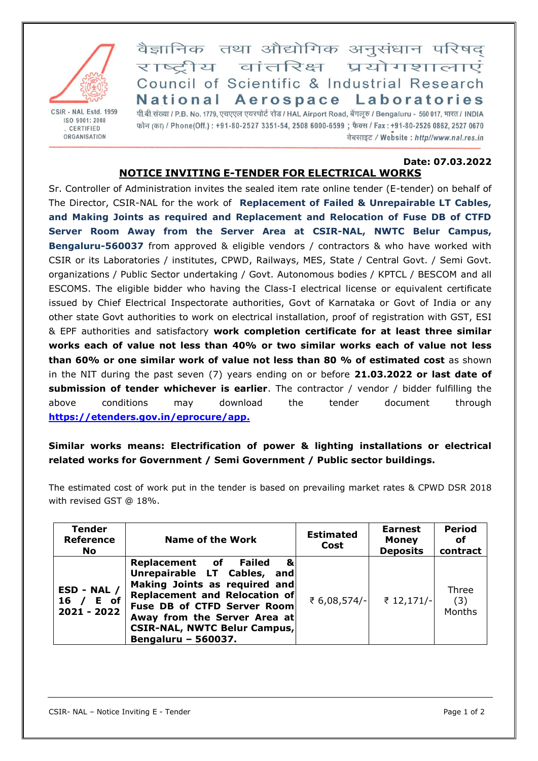

CSIR - NAL Estd. 1959 ISO 9001: 2008 . CERTIFIED ORGANISATION

वैज्ञानिक तथा औद्योगिक अनुसंधान परिषद् राष्ट्रीय वांतरिक्ष प्रयोगशालाएं Council of Scientific & Industrial Research National Aerospace Laboratories

पी.बी.संख्या / P.B. No. 1779, एचएएल एयरपोर्ट रोड / HAL Airport Road, बेंगलूरु / Bengaluru - 560 017, भारत / INDIA फोन (का) / Phone(Off.): +91-80-2527 3351-54, 2508 6000-6599; फैक्स / Fax: +91-80-2526 0862, 2527 0670 वेबसाइट / Website: http//www.nal.res.in

## **Date: 07.03.2022 NOTICE INVITING E-TENDER FOR ELECTRICAL WORKS**

Sr. Controller of Administration invites the sealed item rate online tender (E-tender) on behalf of The Director, CSIR-NAL for the work of **Replacement of Failed & Unrepairable LT Cables, and Making Joints as required and Replacement and Relocation of Fuse DB of CTFD Server Room Away from the Server Area at CSIR-NAL, NWTC Belur Campus, Bengaluru-560037** from approved & eligible vendors / contractors & who have worked with CSIR or its Laboratories / institutes, CPWD, Railways, MES, State / Central Govt. / Semi Govt. organizations / Public Sector undertaking / Govt. Autonomous bodies / KPTCL / BESCOM and all ESCOMS. The eligible bidder who having the Class-I electrical license or equivalent certificate issued by Chief Electrical Inspectorate authorities, Govt of Karnataka or Govt of India or any other state Govt authorities to work on electrical installation, proof of registration with GST, ESI & EPF authorities and satisfactory **work completion certificate for at least three similar works each of value not less than 40% or two similar works each of value not less than 60% or one similar work of value not less than 80 % of estimated cost** as shown in the NIT during the past seven (7) years ending on or before **21.03.2022 or last date of submission of tender whichever is earlier**. The contractor / vendor / bidder fulfilling the above conditions may download the tender document through **[https://etenders.gov.in/eprocure/app.](https://etenders.gov.in/eprocure/app)**

## **Similar works means: Electrification of power & lighting installations or electrical related works for Government / Semi Government / Public sector buildings.**

The estimated cost of work put in the tender is based on prevailing market rates & CPWD DSR 2018 with revised GST @ 18%.

| <b>Tender</b><br><b>Reference</b><br>No. | <b>Name of the Work</b>                                                                                                                                                                                                                                  | <b>Estimated</b><br>Cost | <b>Earnest</b><br><b>Money</b><br><b>Deposits</b> | <b>Period</b><br>оf<br>contract |
|------------------------------------------|----------------------------------------------------------------------------------------------------------------------------------------------------------------------------------------------------------------------------------------------------------|--------------------------|---------------------------------------------------|---------------------------------|
| ESD - NAL /<br>16 / E of<br>2021 - 2022  | Replacement of Failed<br>&<br>Unrepairable LT Cables, and<br>Making Joints as required and<br>Replacement and Relocation of<br>Fuse DB of CTFD Server Room<br>Away from the Server Area at<br><b>CSIR-NAL, NWTC Belur Campus,</b><br>Bengaluru - 560037. | ₹ 6,08,574/-             | ₹ 12,171/-                                        | Three<br>(3)<br>Months          |